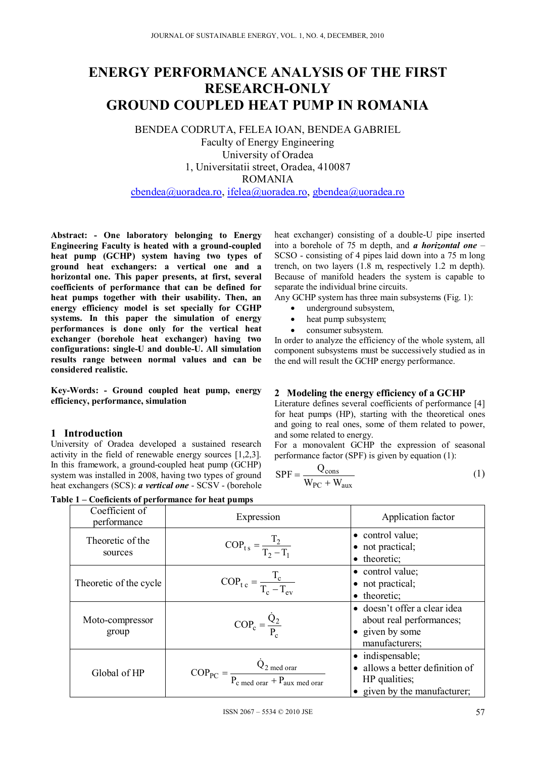# **ENERGY PERFORMANCE ANALYSIS OF THE FIRST RESEARCH-ONLY GROUND COUPLED HEAT PUMP IN ROMANIA**

BENDEA CODRUTA, FELEA IOAN, BENDEA GABRIEL Faculty of Energy Engineering University of Oradea

1, Universitatii street, Oradea, 410087

ROMANIA

cbendea@uoradea.ro, ifelea@uoradea.ro, gbendea@uoradea.ro

**Abstract: - One laboratory belonging to Energy Engineering Faculty is heated with a ground-coupled heat pump (GCHP) system having two types of ground heat exchangers: a vertical one and a horizontal one. This paper presents, at first, several coefficients of performance that can be defined for heat pumps together with their usability. Then, an energy efficiency model is set specially for CGHP systems. In this paper the simulation of energy performances is done only for the vertical heat exchanger (borehole heat exchanger) having two configurations: single-U and double-U. All simulation results range between normal values and can be considered realistic.** 

**Key-Words: - Ground coupled heat pump, energy efficiency, performance, simulation** 

## **1 Introduction**

University of Oradea developed a sustained research activity in the field of renewable energy sources [1,2,3]. In this framework, a ground-coupled heat pump (GCHP) system was installed in 2008, having two types of ground heat exchangers (SCS): *a vertical one* - SCSV - (borehole

**Table 1 – Coeficients of performance for heat pumps** 

heat exchanger) consisting of a double-U pipe inserted into a borehole of 75 m depth, and *a horizontal one* – SCSO - consisting of 4 pipes laid down into a 75 m long trench, on two layers (1.8 m, respectively 1.2 m depth). Because of manifold headers the system is capable to separate the individual brine circuits.

Any GCHP system has three main subsystems (Fig. 1):

- underground subsystem,
- heat pump subsystem;
- consumer subsystem.

In order to analyze the efficiency of the whole system, all component subsystems must be successively studied as in the end will result the GCHP energy performance.

## **2 Modeling the energy efficiency of a GCHP**

Literature defines several coefficients of performance [4] for heat pumps (HP), starting with the theoretical ones and going to real ones, some of them related to power, and some related to energy.

For a monovalent GCHP the expression of seasonal performance factor (SPF) is given by equation (1):

$$
SPF = \frac{Q_{\text{cons}}}{W_{PC} + W_{\text{aux}}}
$$
 (1)

|  | Coefficient of<br>performance | Expression                                                                                                | Application factor                                                                                   |  |  |
|--|-------------------------------|-----------------------------------------------------------------------------------------------------------|------------------------------------------------------------------------------------------------------|--|--|
|  | Theoretic of the<br>sources   | $COP_{ts} = \frac{1_2}{T_2 - T_1}$                                                                        | • control value;<br>• not practical;<br>• theoretic;                                                 |  |  |
|  | Theoretic of the cycle        | $COP_{\text{tc}} = \frac{I_c}{T_a - T_{\text{av}}}$                                                       | • control value;<br>• not practical;<br>• theoretic;                                                 |  |  |
|  | Moto-compressor<br>group      | $COP_c = \frac{Q_2}{P}$                                                                                   | • doesn't offer a clear idea<br>about real performances;<br>• given by some<br>manufacturers;        |  |  |
|  | Global of HP                  | $\text{COP}_{\text{PC}} = \frac{Q_{2 \text{ med orar}}}{P_{\text{c med orar}} + P_{\text{aux med orar}}}$ | • indispensable;<br>• allows a better definition of<br>HP qualities;<br>• given by the manufacturer; |  |  |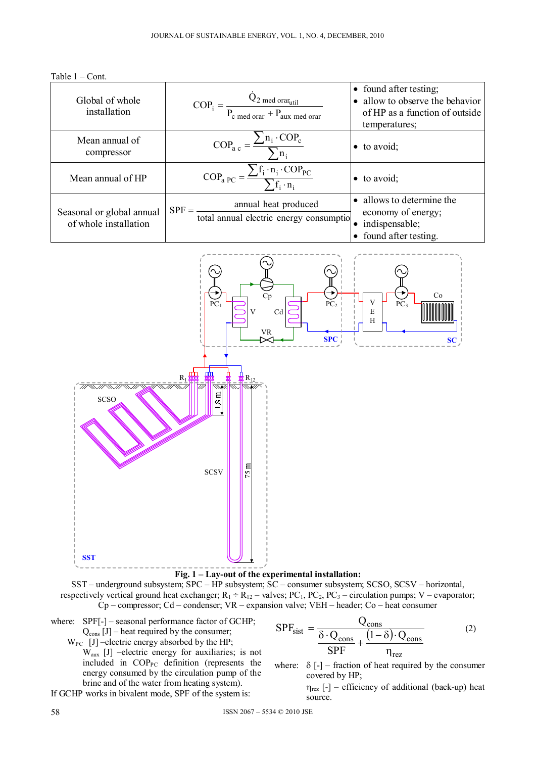

| Global of whole<br>installation                    | $COP_i = \frac{Q_2 \text{ med orar}_{util}}{P_c \text{ med orar} + P_{aux \text{ med orar}}}$           | • found after testing;<br>• allow to observe the behavior<br>of HP as a function of outside<br>temperatures; |
|----------------------------------------------------|---------------------------------------------------------------------------------------------------------|--------------------------------------------------------------------------------------------------------------|
| Mean annual of<br>compressor                       | $COP_{\text{a c}} = \frac{\sum n_i \cdot COP_{\text{c}}}{\sum n_i}$                                     | $\bullet$ to avoid;                                                                                          |
| Mean annual of HP                                  | $\text{COP}_{\text{a PC}} = \frac{\sum f_i \cdot n_i \cdot \text{COP}_{\text{PC}}}{\sum f_i \cdot n_i}$ | $\bullet$ to avoid;                                                                                          |
| Seasonal or global annual<br>of whole installation | annual heat produced<br>$SPF = -$<br>total annual electric energy consumptio                            | • allows to determine the<br>economy of energy;<br>indispensable;<br>found after testing.                    |



**Fig. 1 – Lay-out of the experimental installation:**

SST – underground subsystem; SPC – HP subsystem; SC – consumer subsystem; SCSO, SCSV – horizontal, respectively vertical ground heat exchanger;  $R_1 \div R_{12}$  – valves; PC<sub>1</sub>, PC<sub>2</sub>, PC<sub>3</sub> – circulation pumps; V – evaporator; Cp – compressor; Cd – condenser; VR – expansion valve; VEH – header; Co – heat consumer

where: SPF[-] – seasonal performance factor of GCHP;  $Q_{cons}$  [J] – heat required by the consumer;

 $W_{PC}$  [J] –electric energy absorbed by the HP;

 Waux [J] –electric energy for auxiliaries; is not included in COP<sub>PC</sub> definition (represents the energy consumed by the circulation pump of the brine and of the water from heating system).

If GCHP works in bivalent mode, SPF of the system is:

$$
SPF_{\text{sist}} = \frac{Q_{\text{cons}}}{\frac{\delta \cdot Q_{\text{cons}}}{SPF} + \frac{(1-\delta) \cdot Q_{\text{cons}}}{\eta_{\text{rez}}}}
$$
(2)

where:  $\delta$  [-] – fraction of heat required by the consumer covered by HP;

> $\eta_{\text{rez}}$  [-] – efficiency of additional (back-up) heat source.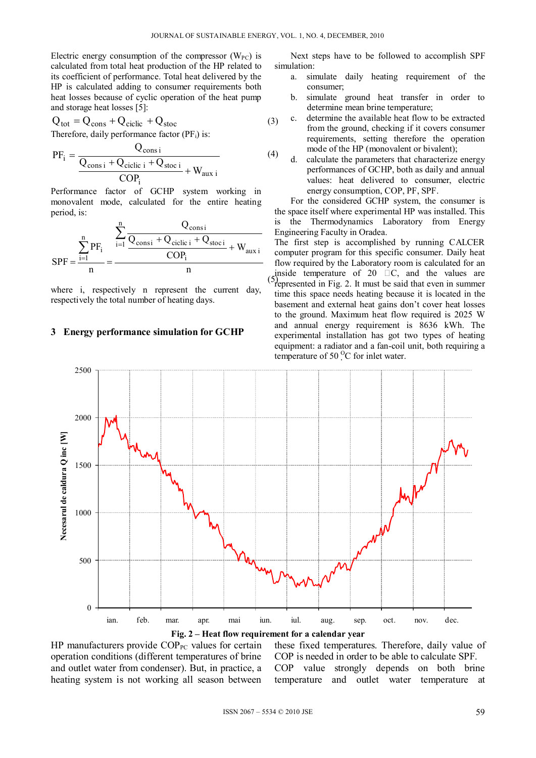Electric energy consumption of the compressor  $(W_{PC})$  is calculated from total heat production of the HP related to its coefficient of performance. Total heat delivered by the HP is calculated adding to consumer requirements both heat losses because of cyclic operation of the heat pump and storage heat losses [5]:

$$
Q_{\text{tot}} = Q_{\text{cons}} + Q_{\text{ciclic}} + Q_{\text{stoc}}
$$
(3)

Therefore, daily performance factor  $(PF_i)$  is:

$$
PF_{i} = \frac{Q_{\text{cons i}}}{\frac{Q_{\text{cons i}} + Q_{\text{ciclic i}} + Q_{\text{stoc i}}}{\text{COP}_{i}} + W_{\text{aux i}}}
$$
(4)

Performance factor of GCHP system working in monovalent mode, calculated for the entire heating period, is:

$$
SPF = \frac{\sum_{i=1}^{n} PF_i}{n} = \frac{\frac{\sum_{i=1}^{n} \frac{Q_{consi}}{Q_{consi} + Q_{ciclic i} + Q_{stoci}}}{COP_i} + W_{aux i}}{n}
$$

where i, respectively n represent the current day, respectively the total number of heating days.

### **3 Energy performance simulation for GCHP**

2500

Next steps have to be followed to accomplish SPF simulation:

- a. simulate daily heating requirement of the consumer;
- b. simulate ground heat transfer in order to determine mean brine temperature;
- c. determine the available heat flow to be extracted from the ground, checking if it covers consumer requirements, setting therefore the operation mode of the HP (monovalent or bivalent);
- d. calculate the parameters that characterize energy performances of GCHP, both as daily and annual values: heat delivered to consumer, electric energy consumption, COP, PF, SPF.

For the considered GCHP system, the consumer is the space itself where experimental HP was installed. This is the Thermodynamics Laboratory from Energy Engineering Faculty in Oradea.

 $(5)$ The first step is accomplished by running CALCER computer program for this specific consumer. Daily heat flow required by the Laboratory room is calculated for an inside temperature of  $20$   $\Box$ C, and the values are  $P$  represented in Fig. 2. It must be said that even in summer time this space needs heating because it is located in the basement and external heat gains don't cover heat losses to the ground. Maximum heat flow required is 2025 W and annual energy requirement is 8636 kWh. The experimental installation has got two types of heating equipment: a radiator and a fan-coil unit, both requiring a temperature of  $50<sup>o</sup>C$  for inlet water.





HP manufacturers provide  $COP_{PC}$  values for certain operation conditions (different temperatures of brine and outlet water from condenser). But, in practice, a heating system is not working all season between

these fixed temperatures. Therefore, daily value of COP is needed in order to be able to calculate SPF. COP value strongly depends on both brine

temperature and outlet water temperature at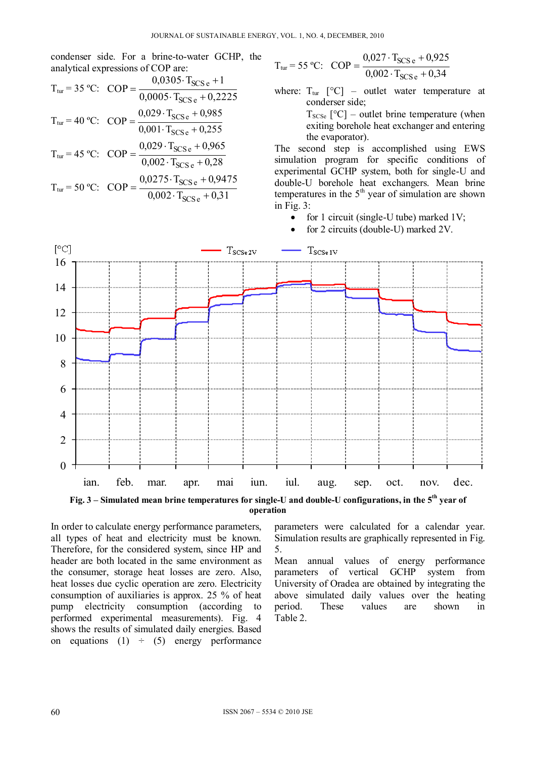condenser side. For a brine-to-water GCHP, the analytical expressions of COP are:  $0.0305$ , T<sub>rea</sub> 1

$$
T_{\text{tur}} = 35 \text{ °C}: \text{ COP} = \frac{0,0305 \cdot T_{\text{SCS e}} + 1}{0,0005 \cdot T_{\text{SCS e}} + 0,2225}
$$
  
\n
$$
T_{\text{tur}} = 40 \text{ °C}: \text{ COP} = \frac{0,029 \cdot T_{\text{SCS e}} + 0,985}{0,001 \cdot T_{\text{SCS e}} + 0,255}
$$
  
\n
$$
T_{\text{tur}} = 45 \text{ °C}: \text{ COP} = \frac{0,029 \cdot T_{\text{SCS e}} + 0,965}{0,002 \cdot T_{\text{SCS e}} + 0,28}
$$
  
\n
$$
T_{\text{tur}} = 50 \text{ °C}: \text{ COP} = \frac{0,0275 \cdot T_{\text{SCS e}} + 0,9475}{0,002 \cdot T_{\text{SCS e}} + 0,31}
$$

$$
T_{\text{tur}} = 55 \text{ °C}
$$
: COP =  $\frac{0.027 \cdot T_{\text{SCS}e} + 0.925}{0.002 \cdot T_{\text{SCS}e} + 0.34}$ 

where:  $T_{\text{tur}}$   $\lceil {^{\circ}C} \rceil$  – outlet water temperature at conderser side;

> $T_{SCSe}$  [°C] – outlet brine temperature (when exiting borehole heat exchanger and entering the evaporator).

The second step is accomplished using EWS simulation program for specific conditions of experimental GCHP system, both for single-U and double-U borehole heat exchangers. Mean brine temperatures in the  $5<sup>th</sup>$  year of simulation are shown in Fig. 3:

- for 1 circuit (single-U tube) marked  $1V$ ;
- for 2 circuits (double-U) marked 2V.



**operation** 

In order to calculate energy performance parameters, all types of heat and electricity must be known. Therefore, for the considered system, since HP and header are both located in the same environment as the consumer, storage heat losses are zero. Also, heat losses due cyclic operation are zero. Electricity consumption of auxiliaries is approx. 25 % of heat pump electricity consumption (according to performed experimental measurements). Fig. 4 shows the results of simulated daily energies. Based on equations (1)  $\div$  (5) energy performance

parameters were calculated for a calendar year. Simulation results are graphically represented in Fig. 5.

Mean annual values of energy performance parameters of vertical GCHP system from University of Oradea are obtained by integrating the above simulated daily values over the heating period. These values are shown in Table 2.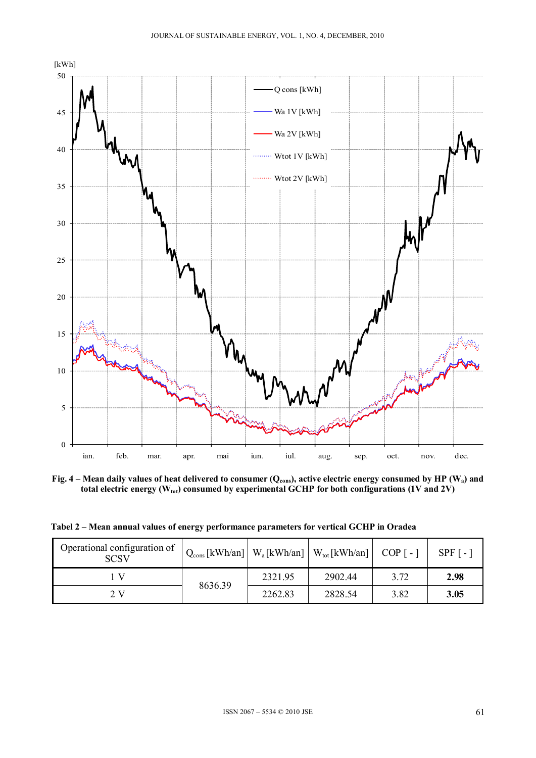

Fig. 4 – Mean daily values of heat delivered to consumer (Q<sub>cons</sub>), active electric energy consumed by HP (W<sub>a</sub>) and total electric energy (W<sub>tot</sub>) consumed by experimental GCHP for both configurations (1V and 2V)

**Tabel 2 – Mean annual values of energy performance parameters for vertical GCHP in Oradea** 

| Operational configuration of<br><b>SCSV</b> | $Q_{\text{cons}}$ [kWh/an]   W <sub>a</sub> [kWh/an]   W <sub>tot</sub> [kWh/an]   COP [-] |         |         |      | $SPF$ [ - |
|---------------------------------------------|--------------------------------------------------------------------------------------------|---------|---------|------|-----------|
|                                             | 8636.39                                                                                    | 2321.95 | 2902.44 | 3.72 | 2.98      |
| 2 V                                         |                                                                                            | 2262.83 | 2828.54 | 3.82 | 3.05      |